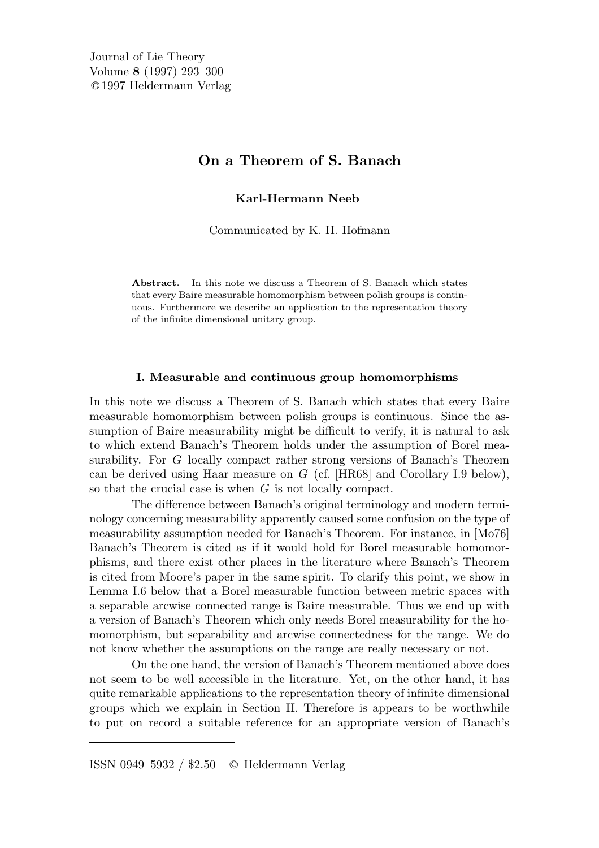# On a Theorem of S. Banach

Karl-Hermann Neeb

Communicated by K. H. Hofmann

Abstract. In this note we discuss a Theorem of S. Banach which states that every Baire measurable homomorphism between polish groups is continuous. Furthermore we describe an application to the representation theory of the infinite dimensional unitary group.

### I. Measurable and continuous group homomorphisms

In this note we discuss a Theorem of S. Banach which states that every Baire measurable homomorphism between polish groups is continuous. Since the assumption of Baire measurability might be difficult to verify, it is natural to ask to which extend Banach's Theorem holds under the assumption of Borel measurability. For G locally compact rather strong versions of Banach's Theorem can be derived using Haar measure on  $G$  (cf. [HR68] and Corollary I.9 below), so that the crucial case is when G is not locally compact.

The difference between Banach's original terminology and modern terminology concerning measurability apparently caused some confusion on the type of measurability assumption needed for Banach's Theorem. For instance, in [Mo76] Banach's Theorem is cited as if it would hold for Borel measurable homomorphisms, and there exist other places in the literature where Banach's Theorem is cited from Moore's paper in the same spirit. To clarify this point, we show in Lemma I.6 below that a Borel measurable function between metric spaces with a separable arcwise connected range is Baire measurable. Thus we end up with a version of Banach's Theorem which only needs Borel measurability for the homomorphism, but separability and arcwise connectedness for the range. We do not know whether the assumptions on the range are really necessary or not.

On the one hand, the version of Banach's Theorem mentioned above does not seem to be well accessible in the literature. Yet, on the other hand, it has quite remarkable applications to the representation theory of infinite dimensional groups which we explain in Section II. Therefore is appears to be worthwhile to put on record a suitable reference for an appropriate version of Banach's

ISSN 0949–5932 / \$2.50 <sup>C</sup> Heldermann Verlag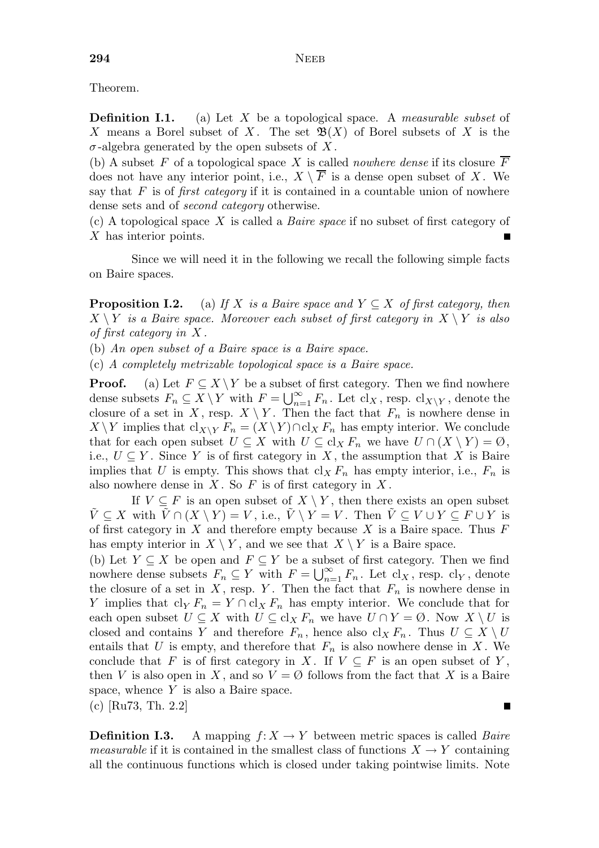Theorem.

**Definition I.1.** (a) Let X be a topological space. A *measurable subset* of X means a Borel subset of X. The set  $\mathfrak{B}(X)$  of Borel subsets of X is the  $\sigma$ -algebra generated by the open subsets of X.

(b) A subset F of a topological space X is called *nowhere dense* if its closure  $\overline{F}$ does not have any interior point, i.e.,  $X \setminus \overline{F}$  is a dense open subset of X. We say that  $F$  is of *first category* if it is contained in a countable union of nowhere dense sets and of second category otherwise.

(c) A topological space X is called a Baire space if no subset of first category of X has interior points.

Since we will need it in the following we recall the following simple facts on Baire spaces.

**Proposition I.2.** (a) If X is a Baire space and  $Y \subseteq X$  of first category, then  $X \setminus Y$  is a Baire space. Moreover each subset of first category in  $X \setminus Y$  is also of first category in X .

(b) An open subset of a Baire space is a Baire space.

(c) A completely metrizable topological space is a Baire space.

**Proof.** (a) Let  $F \subseteq X \backslash Y$  be a subset of first category. Then we find nowhere dense subsets  $F_n \subseteq X \setminus Y$  with  $F = \bigcup_{n=1}^{\infty} F_n$ . Let  $\text{cl}_X$ , resp.  $\text{cl}_{X \setminus Y}$ , denote the closure of a set in X, resp.  $X \setminus Y$ . Then the fact that  $F_n$  is nowhere dense in  $X \backslash Y$  implies that  $\text{cl}_{X \backslash Y} F_n = (X \backslash Y) \cap \text{cl}_X F_n$  has empty interior. We conclude that for each open subset  $U \subseteq X$  with  $U \subseteq cl_X F_n$  we have  $U \cap (X \setminus Y) = \emptyset$ , i.e.,  $U \subseteq Y$ . Since Y is of first category in X, the assumption that X is Baire implies that U is empty. This shows that  $\mathrm{cl}_X F_n$  has empty interior, i.e.,  $F_n$  is also nowhere dense in  $X$ . So  $F$  is of first category in  $X$ .

If  $V \subseteq F$  is an open subset of  $X \setminus Y$ , then there exists an open subset  $\tilde{V} \subseteq X$  with  $\tilde{V} \cap (X \setminus Y) = V$ , i.e.,  $\tilde{V} \setminus Y = V$ . Then  $\tilde{V} \subseteq V \cup Y \subseteq F \cup Y$  is of first category in  $X$  and therefore empty because  $X$  is a Baire space. Thus  $F$ has empty interior in  $X \setminus Y$ , and we see that  $X \setminus Y$  is a Baire space.

(b) Let  $Y \subseteq X$  be open and  $F \subseteq Y$  be a subset of first category. Then we find nowhere dense subsets  $F_n \subseteq Y$  with  $F = \bigcup_{n=1}^{\infty} F_n$ . Let  $\text{cl}_X$ , resp.  $\text{cl}_Y$ , denote the closure of a set in X, resp. Y. Then the fact that  $F_n$  is nowhere dense in Y implies that  $\text{cl}_Y F_n = Y \cap \text{cl}_X F_n$  has empty interior. We conclude that for each open subset  $U \subseteq X$  with  $U \subseteq cl_X F_n$  we have  $U \cap Y = \emptyset$ . Now  $X \setminus U$  is closed and contains Y and therefore  $F_n$ , hence also cl<sub>X</sub>  $F_n$ . Thus  $U \subseteq X \setminus U$ entails that U is empty, and therefore that  $F_n$  is also nowhere dense in X. We conclude that F is of first category in X. If  $V \subseteq F$  is an open subset of Y, then V is also open in X, and so  $V = \emptyset$  follows from the fact that X is a Baire space, whence Y is also a Baire space. (c) [Ru73, Th. 2.2]

**Definition I.3.** A mapping  $f: X \to Y$  between metric spaces is called *Baire measurable* if it is contained in the smallest class of functions  $X \to Y$  containing all the continuous functions which is closed under taking pointwise limits. Note

П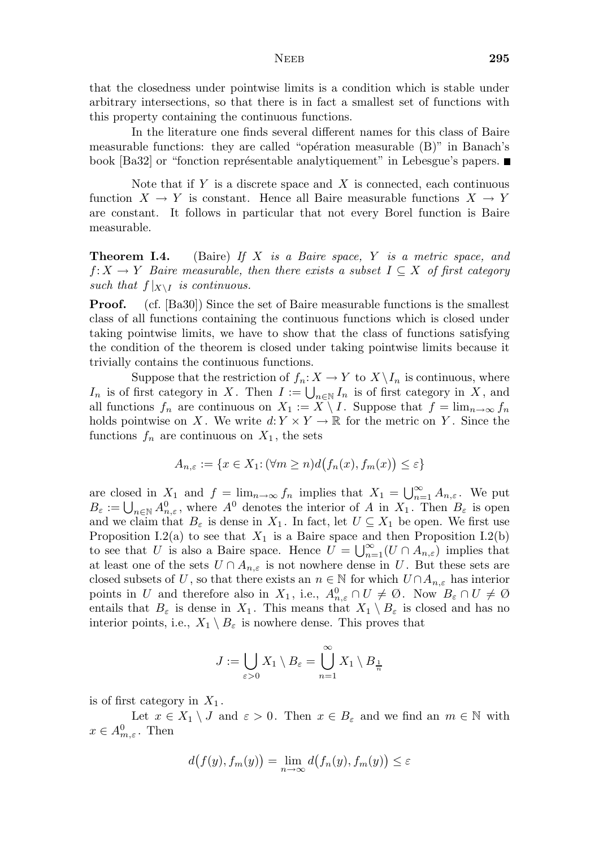that the closedness under pointwise limits is a condition which is stable under arbitrary intersections, so that there is in fact a smallest set of functions with this property containing the continuous functions.

In the literature one finds several different names for this class of Baire measurable functions: they are called "opération measurable  $(B)$ " in Banach's book [Ba32] or "fonction représentable analytiquement" in Lebesgue's papers.

Note that if  $Y$  is a discrete space and  $X$  is connected, each continuous function  $X \to Y$  is constant. Hence all Baire measurable functions  $X \to Y$ are constant. It follows in particular that not every Borel function is Baire measurable.

**Theorem I.4.** (Baire) If  $X$  is a Baire space,  $Y$  is a metric space, and  $f: X \to Y$  Baire measurable, then there exists a subset  $I \subseteq X$  of first category such that  $f|_{X\setminus I}$  is continuous.

**Proof.** (cf. [Ba30]) Since the set of Baire measurable functions is the smallest class of all functions containing the continuous functions which is closed under taking pointwise limits, we have to show that the class of functions satisfying the condition of the theorem is closed under taking pointwise limits because it trivially contains the continuous functions.

Suppose that the restriction of  $f_n: X \to Y$  to  $X \setminus I_n$  is continuous, where  $I_n$  is of first category in X. Then  $I := \bigcup_{n \in \mathbb{N}} I_n$  is of first category in X, and all functions  $f_n$  are continuous on  $X_1 := \widetilde{X \setminus I}$ . Suppose that  $f = \lim_{n \to \infty} f_n$ holds pointwise on X. We write  $d: Y \times Y \to \mathbb{R}$  for the metric on Y. Since the functions  $f_n$  are continuous on  $X_1$ , the sets

$$
A_{n,\varepsilon}:=\{x\in X_1\colon (\forall m\geq n)d\bigl(f_n(x),f_m(x)\bigr)\leq\varepsilon\}
$$

are closed in  $X_1$  and  $f = \lim_{n \to \infty} f_n$  implies that  $X_1 = \bigcup_{n=1}^{\infty} A_{n,\varepsilon}$ . We put  $B_{\varepsilon} := \bigcup_{n \in \mathbb{N}} A_{n,\varepsilon}^0$ , where  $A^0$  denotes the interior of A in  $X_1$ . Then  $B_{\varepsilon}$  is open and we claim that  $B_{\varepsilon}$  is dense in  $X_1$ . In fact, let  $U \subseteq X_1$  be open. We first use Proposition I.2(a) to see that  $X_1$  is a Baire space and then Proposition I.2(b) to see that U is also a Baire space. Hence  $U = \bigcup_{n=1}^{\infty} (U \cap A_{n,\varepsilon})$  implies that at least one of the sets  $U \cap A_{n,\varepsilon}$  is not nowhere dense in U. But these sets are closed subsets of U, so that there exists an  $n \in \mathbb{N}$  for which  $U \cap A_{n,\varepsilon}$  has interior points in U and therefore also in  $X_1$ , i.e.,  $A_{n,\varepsilon}^0 \cap U \neq \emptyset$ . Now  $B_{\varepsilon} \cap U \neq \emptyset$ entails that  $B_{\varepsilon}$  is dense in  $X_1$ . This means that  $X_1 \setminus B_{\varepsilon}$  is closed and has no interior points, i.e.,  $X_1 \setminus B_{\varepsilon}$  is nowhere dense. This proves that

$$
J := \bigcup_{\varepsilon > 0} X_1 \setminus B_{\varepsilon} = \bigcup_{n=1}^{\infty} X_1 \setminus B_{\frac{1}{n}}
$$

is of first category in  $X_1$ .

Let  $x \in X_1 \setminus J$  and  $\varepsilon > 0$ . Then  $x \in B_{\varepsilon}$  and we find an  $m \in \mathbb{N}$  with  $x \in A_{m,\varepsilon}^0$ . Then

$$
d(f(y), f_m(y)) = \lim_{n \to \infty} d(f_n(y), f_m(y)) \le \varepsilon
$$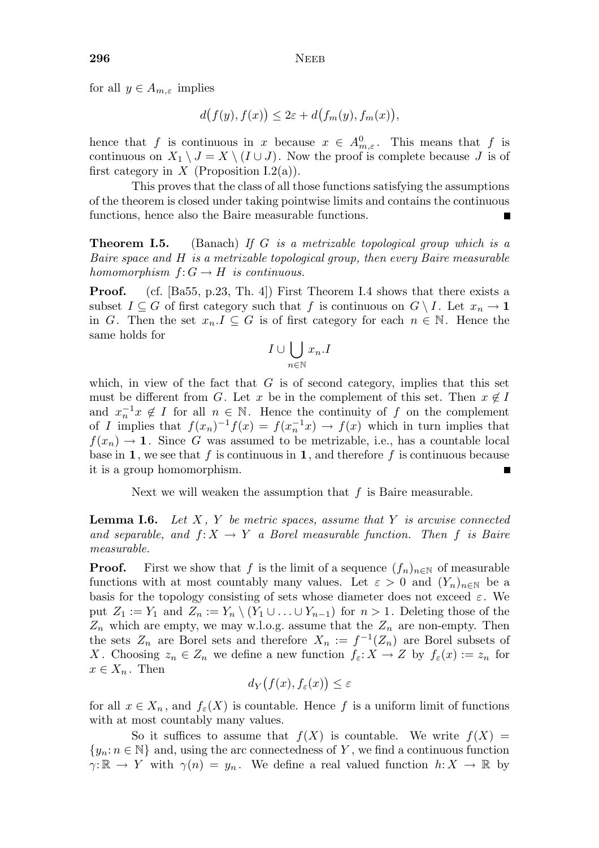for all  $y \in A_{m,\varepsilon}$  implies

$$
d(f(y),f(x))\leq 2\varepsilon+d\big(f_m(y),f_m(x)\big),
$$

hence that f is continuous in  $x$  because  $x \in A_{m,\varepsilon}^0$ . This means that f is continuous on  $X_1 \setminus J = X \setminus (I \cup J)$ . Now the proof is complete because J is of first category in X (Proposition I.2(a)).

This proves that the class of all those functions satisfying the assumptions of the theorem is closed under taking pointwise limits and contains the continuous functions, hence also the Baire measurable functions.

**Theorem I.5.** (Banach) If G is a metrizable topological group which is a Baire space and H is a metrizable topological group, then every Baire measurable homomorphism  $f: G \to H$  is continuous.

Proof. (cf. [Ba55, p.23, Th. 4]) First Theorem I.4 shows that there exists a subset  $I \subseteq G$  of first category such that f is continuous on  $G \setminus I$ . Let  $x_n \to \mathbf{1}$ in G. Then the set  $x_n.I \subseteq G$  is of first category for each  $n \in \mathbb{N}$ . Hence the same holds for

$$
I\cup \bigcup_{n\in \mathbb{N}} x_n.I
$$

which, in view of the fact that  $G$  is of second category, implies that this set must be different from G. Let x be in the complement of this set. Then  $x \notin I$ and  $x_n^{-1}x \notin I$  for all  $n \in \mathbb{N}$ . Hence the continuity of f on the complement of I implies that  $f(x_n)^{-1}f(x) = f(x_n^{-1}x) \to f(x)$  which in turn implies that  $f(x_n) \to \mathbf{1}$ . Since G was assumed to be metrizable, i.e., has a countable local base in 1, we see that f is continuous in 1, and therefore f is continuous because it is a group homomorphism.

Next we will weaken the assumption that  $f$  is Baire measurable.

**Lemma I.6.** Let  $X$ ,  $Y$  be metric spaces, assume that  $Y$  is arcwise connected and separable, and  $f: X \to Y$  a Borel measurable function. Then f is Baire measurable.

**Proof.** First we show that f is the limit of a sequence  $(f_n)_{n\in\mathbb{N}}$  of measurable functions with at most countably many values. Let  $\varepsilon > 0$  and  $(Y_n)_{n \in \mathbb{N}}$  be a basis for the topology consisting of sets whose diameter does not exceed  $\varepsilon$ . We put  $Z_1 := Y_1$  and  $Z_n := Y_n \setminus (Y_1 \cup \ldots \cup Y_{n-1})$  for  $n > 1$ . Deleting those of the  $Z_n$  which are empty, we may w.l.o.g. assume that the  $Z_n$  are non-empty. Then the sets  $Z_n$  are Borel sets and therefore  $X_n := f^{-1}(Z_n)$  are Borel subsets of X. Choosing  $z_n \in Z_n$  we define a new function  $f_{\varepsilon}: X \to Z$  by  $f_{\varepsilon}(x) := z_n$  for  $x \in X_n$ . Then

$$
d_Y\bigl(f(x),f_\varepsilon(x)\bigr)\leq\varepsilon
$$

for all  $x \in X_n$ , and  $f_{\varepsilon}(X)$  is countable. Hence f is a uniform limit of functions with at most countably many values.

So it suffices to assume that  $f(X)$  is countable. We write  $f(X) =$  $\{y_n : n \in \mathbb{N}\}\$ and, using the arc connectedness of Y, we find a continuous function  $\gamma: \mathbb{R} \to Y$  with  $\gamma(n) = y_n$ . We define a real valued function  $h: X \to \mathbb{R}$  by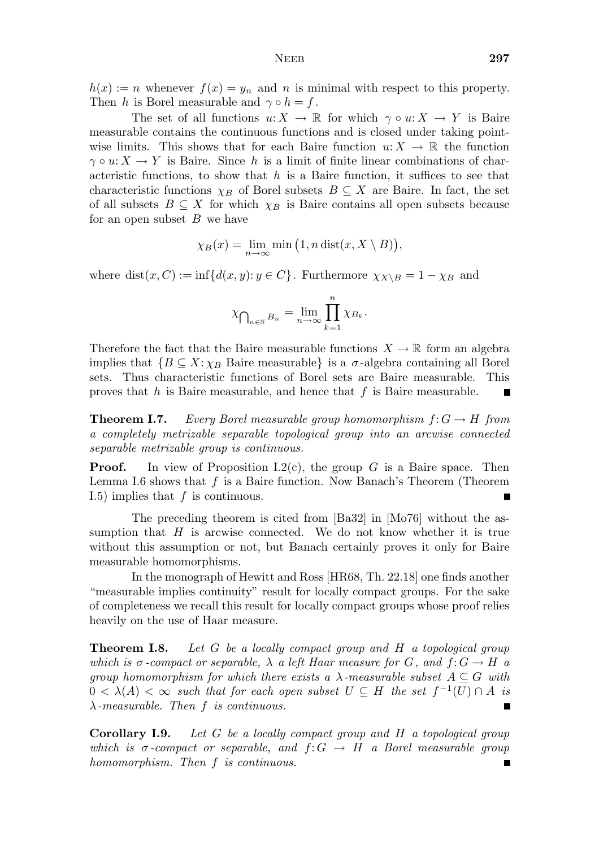$h(x) := n$  whenever  $f(x) = y_n$  and n is minimal with respect to this property. Then h is Borel measurable and  $\gamma \circ h = f$ .

The set of all functions  $u: X \to \mathbb{R}$  for which  $\gamma \circ u: X \to Y$  is Baire measurable contains the continuous functions and is closed under taking pointwise limits. This shows that for each Baire function  $u: X \to \mathbb{R}$  the function  $\gamma \circ u: X \to Y$  is Baire. Since h is a limit of finite linear combinations of characteristic functions, to show that  $h$  is a Baire function, it suffices to see that characteristic functions  $\chi_B$  of Borel subsets  $B \subseteq X$  are Baire. In fact, the set of all subsets  $B \subseteq X$  for which  $\chi_B$  is Baire contains all open subsets because for an open subset  $B$  we have

$$
\chi_B(x) = \lim_{n \to \infty} \min\big(1, n \operatorname{dist}(x, X \setminus B)\big),
$$

where dist $(x, C) := \inf \{d(x, y): y \in C\}$ . Furthermore  $\chi_{X \setminus B} = 1 - \chi_B$  and

$$
\chi_{\bigcap_{n\in\mathbb{N}}B_n} = \lim_{n\to\infty}\prod_{k=1}^n \chi_{B_k}.
$$

Therefore the fact that the Baire measurable functions  $X \to \mathbb{R}$  form an algebra implies that  ${B \subseteq X : \chi_B$  Baire measurable} is a  $\sigma$ -algebra containing all Borel sets. Thus characteristic functions of Borel sets are Baire measurable. This sets. Thus characteristic functions of Borel sets are Baire measurable. proves that  $h$  is Baire measurable, and hence that  $f$  is Baire measurable.

**Theorem I.7.** Every Borel measurable group homomorphism  $f: G \to H$  from a completely metrizable separable topological group into an arcwise connected separable metrizable group is continuous.

**Proof.** In view of Proposition I.2(c), the group G is a Baire space. Then Lemma I.6 shows that  $f$  is a Baire function. Now Banach's Theorem (Theorem I.5) implies that  $f$  is continuous.  $\blacksquare$ 

The preceding theorem is cited from [Ba32] in [Mo76] without the assumption that  $H$  is arcwise connected. We do not know whether it is true without this assumption or not, but Banach certainly proves it only for Baire measurable homomorphisms.

In the monograph of Hewitt and Ross [HR68, Th. 22.18] one finds another "measurable implies continuity" result for locally compact groups. For the sake of completeness we recall this result for locally compact groups whose proof relies heavily on the use of Haar measure.

**Theorem I.8.** Let G be a locally compact group and H a topological group which is  $\sigma$ -compact or separable,  $\lambda$  a left Haar measure for G, and  $f: G \to H$  a group homomorphism for which there exists a  $\lambda$ -measurable subset  $A \subseteq G$  with  $0 < \lambda(A) < \infty$  such that for each open subset  $U \subseteq H$  the set  $f^{-1}(U) \cap A$  is  $\lambda$ -measurable. Then f is continuous.

Corollary I.9. Let G be a locally compact group and H a topological group which is  $\sigma$ -compact or separable, and  $f: G \to H$  a Borel measurable group homomorphism. Then f is continuous.П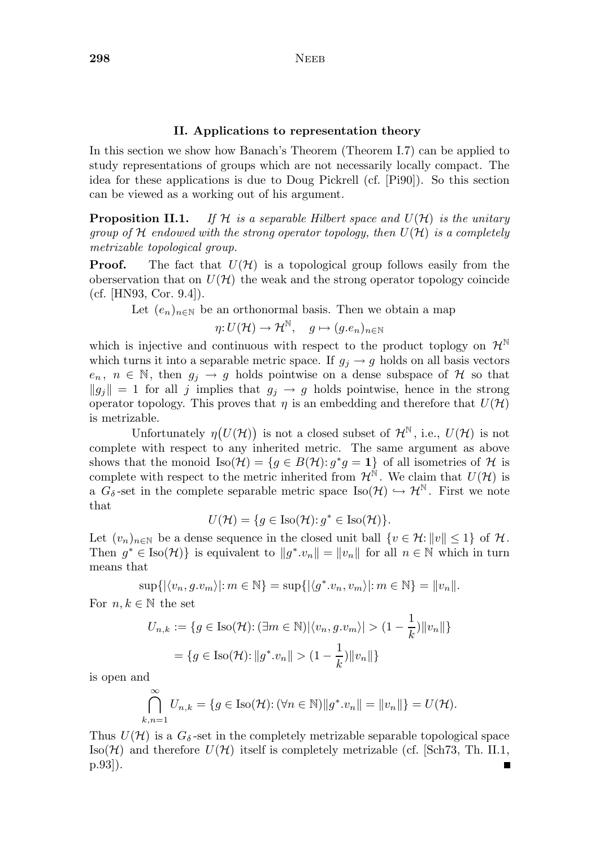### II. Applications to representation theory

In this section we show how Banach's Theorem (Theorem I.7) can be applied to study representations of groups which are not necessarily locally compact. The idea for these applications is due to Doug Pickrell (cf. [Pi90]). So this section can be viewed as a working out of his argument.

**Proposition II.1.** If H is a separable Hilbert space and  $U(\mathcal{H})$  is the unitary group of  $H$  endowed with the strong operator topology, then  $U(H)$  is a completely metrizable topological group.

**Proof.** The fact that  $U(\mathcal{H})$  is a topological group follows easily from the oberservation that on  $U(\mathcal{H})$  the weak and the strong operator topology coincide (cf. [HN93, Cor. 9.4]).

Let  $(e_n)_{n\in\mathbb{N}}$  be an orthonormal basis. Then we obtain a map

$$
\eta: U(\mathcal{H}) \to \mathcal{H}^{\mathbb{N}}, \quad g \mapsto (g.e_n)_{n \in \mathbb{N}}
$$

which is injective and continuous with respect to the product toplogy on  $\mathcal{H}^{\mathbb{N}}$ which turns it into a separable metric space. If  $g_j \to g$  holds on all basis vectors  $e_n, n \in \mathbb{N}$ , then  $g_j \to g$  holds pointwise on a dense subspace of H so that  $||g_j|| = 1$  for all j implies that  $g_j \to g$  holds pointwise, hence in the strong operator topology. This proves that  $\eta$  is an embedding and therefore that  $U(\mathcal{H})$ is metrizable.

Unfortunately  $\eta(U(\mathcal{H}))$  is not a closed subset of  $\mathcal{H}^{\mathbb{N}}$ , i.e.,  $U(\mathcal{H})$  is not complete with respect to any inherited metric. The same argument as above shows that the monoid  $\text{Iso}(\mathcal{H}) = \{g \in B(\mathcal{H}) : g^*g = 1\}$  of all isometries of  $\mathcal{H}$  is complete with respect to the metric inherited from  $\mathcal{H}^{\mathbb{N}}$ . We claim that  $U(\mathcal{H})$  is a  $G_{\delta}$ -set in the complete separable metric space Iso( $\mathcal{H}^{\mathbb{N}}$ . First we note that

$$
U(\mathcal{H}) = \{ g \in \text{Iso}(\mathcal{H}) : g^* \in \text{Iso}(\mathcal{H}) \}.
$$

Let  $(v_n)_{n\in\mathbb{N}}$  be a dense sequence in the closed unit ball  $\{v\in\mathcal{H}\colon \|v\|\leq 1\}$  of  $\mathcal{H}$ . Then  $g^* \in \text{Iso}(\mathcal{H})\}$  is equivalent to  $||g^* \cdot v_n|| = ||v_n||$  for all  $n \in \mathbb{N}$  which in turn means that

$$
\sup\{| \langle v_n, g.v_m \rangle | : m \in \mathbb{N}\} = \sup\{| \langle g^*.v_n, v_m \rangle | : m \in \mathbb{N}\} = ||v_n||.
$$

For  $n, k \in \mathbb{N}$  the set

$$
U_{n,k} := \{ g \in \text{Iso}(\mathcal{H}) : (\exists m \in \mathbb{N}) |\langle v_n, g.v_m \rangle| > (1 - \frac{1}{k}) ||v_n|| \}
$$

$$
= \{ g \in \text{Iso}(\mathcal{H}) : ||g^*.v_n|| > (1 - \frac{1}{k}) ||v_n|| \}
$$

is open and

$$
\bigcap_{k,n=1}^{\infty} U_{n,k} = \{ g \in \text{Iso}(\mathcal{H}) : (\forall n \in \mathbb{N}) || g^* \cdot v_n || = ||v_n|| \} = U(\mathcal{H}).
$$

Thus  $U(\mathcal{H})$  is a  $G_{\delta}$ -set in the completely metrizable separable topological space Iso( $\mathcal{H}$ ) and therefore  $U(\mathcal{H})$  itself is completely metrizable (cf. [Sch73, Th. II.1, p.93]).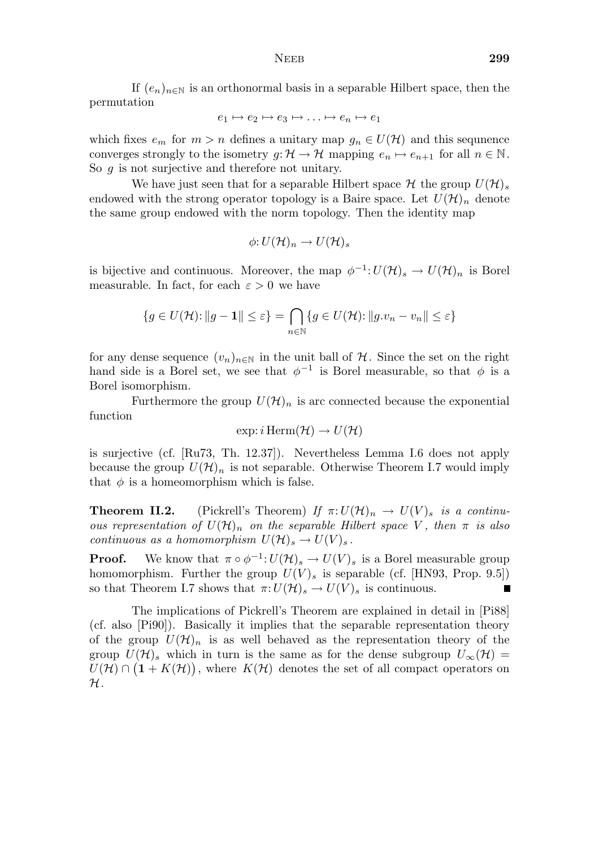If  $(e_n)_{n\in\mathbb{N}}$  is an orthonormal basis in a separable Hilbert space, then the permutation

$$
e_1 \mapsto e_2 \mapsto e_3 \mapsto \ldots \mapsto e_n \mapsto e_1
$$

which fixes  $e_m$  for  $m > n$  defines a unitary map  $g_n \in U(\mathcal{H})$  and this sequence converges strongly to the isometry  $g: \mathcal{H} \to \mathcal{H}$  mapping  $e_n \mapsto e_{n+1}$  for all  $n \in \mathbb{N}$ . So g is not surjective and therefore not unitary.

We have just seen that for a separable Hilbert space  $\mathcal H$  the group  $U(\mathcal H)_s$ endowed with the strong operator topology is a Baire space. Let  $U(\mathcal{H})_n$  denote the same group endowed with the norm topology. Then the identity map

$$
\phi: U(\mathcal{H})_n \to U(\mathcal{H})_s
$$

is bijective and continuous. Moreover, the map  $\phi^{-1}: U(\mathcal{H})_s \to U(\mathcal{H})_n$  is Borel measurable. In fact, for each  $\varepsilon > 0$  we have

$$
\{g \in U(\mathcal{H}) : ||g - \mathbf{1}|| \le \varepsilon\} = \bigcap_{n \in \mathbb{N}} \{g \in U(\mathcal{H}) : ||g.v_n - v_n|| \le \varepsilon\}
$$

for any dense sequence  $(v_n)_{n\in\mathbb{N}}$  in the unit ball of H. Since the set on the right hand side is a Borel set, we see that  $\phi^{-1}$  is Borel measurable, so that  $\phi$  is a Borel isomorphism.

Furthermore the group  $U(\mathcal{H})_n$  is arc connected because the exponential function

$$
\exp: i \operatorname{Herm}(\mathcal{H}) \to U(\mathcal{H})
$$

is surjective (cf. [Ru73, Th. 12.37]). Nevertheless Lemma I.6 does not apply because the group  $U(\mathcal{H})_n$  is not separable. Otherwise Theorem I.7 would imply that  $\phi$  is a homeomorphism which is false.

**Theorem II.2.** (Pickrell's Theorem) If  $\pi: U(\mathcal{H})_n \to U(V)_s$  is a continuous representation of  $U(\mathcal{H})_n$  on the separable Hilbert space V, then  $\pi$  is also continuous as a homomorphism  $U(\mathcal{H})_s \to U(V)_s$ .

**Proof.** We know that  $\pi \circ \phi^{-1}: U(\mathcal{H})_s \to U(V)_s$  is a Borel measurable group homomorphism. Further the group  $U(V)_s$  is separable (cf. [HN93, Prop. 9.5]) so that Theorem I.7 shows that  $\pi: U(\mathcal{H})_s \to U(V)_s$  is continuous.  $\blacksquare$ 

The implications of Pickrell's Theorem are explained in detail in [Pi88] (cf. also [Pi90]). Basically it implies that the separable representation theory of the group  $U(\mathcal{H})_n$  is as well behaved as the representation theory of the group  $U(\mathcal{H})_s$  which in turn is the same as for the dense subgroup  $U_{\infty}(\mathcal{H})=$  $\widetilde{U}(\mathcal{H}) \cap (1 + K(\mathcal{H}))$ , where  $K(\mathcal{H})$  denotes the set of all compact operators on  $\mathcal{H}.$